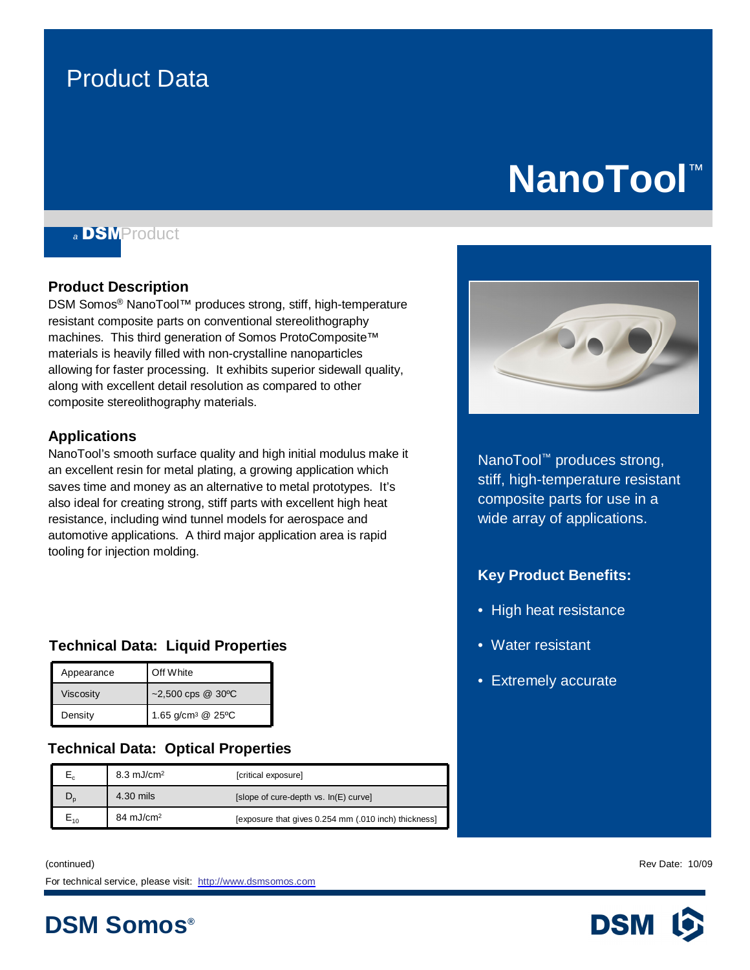### Product Data

## **NanoTool**™

#### *<sup>a</sup>* DSMProduct

#### **Product Description**

DSM Somos<sup>®</sup> NanoTool™ produces strong, stiff, high-temperature resistant composite parts on conventional stereolithography machines. This third generation of Somos ProtoComposite™ materials is heavily filled with non-crystalline nanoparticles allowing for faster processing. It exhibits superior sidewall quality, along with excellent detail resolution as compared to other composite stereolithography materials.

#### **Applications**

NanoTool's smooth surface quality and high initial modulus make it an excellent resin for metal plating, a growing application which saves time and money as an alternative to metal prototypes. It's also ideal for creating strong, stiff parts with excellent high heat resistance, including wind tunnel models for aerospace and automotive applications. A third major application area is rapid tooling for injection molding.

#### **Technical Data: Liquid Properties**

| Appearance | Off White                     |
|------------|-------------------------------|
| Viscosity  | $-2,500$ cps @ 30°C           |
| Density    | 1.65 g/cm <sup>3</sup> @ 25°C |

#### **Technical Data: Optical Properties**

| — c                  | $8.3 \text{ mJ/cm}^2$ | [critical exposure]                                  |
|----------------------|-----------------------|------------------------------------------------------|
| $\mathbf{v}_{\rm n}$ | 4.30 mils             | [slope of cure-depth vs. In(E) curve]                |
| ⊏10                  | $84 \text{ mJ/cm}^2$  | [exposure that gives 0.254 mm (.010 inch) thickness] |

(continued) Rev Date: 10/09 For technical service, please visit: <http://www.dsmsomos.com>



lsakfj;lfja;sldfjafa;lkfma;lekf stiff, high-temperature resistant composite parts for use in a wide array of applications. NanoTool<sup>™</sup> produces strong,

#### **Key Product Benefits:**

- High heat resistance
- Water resistant
- Extremely accurate



**DSM Somos®**